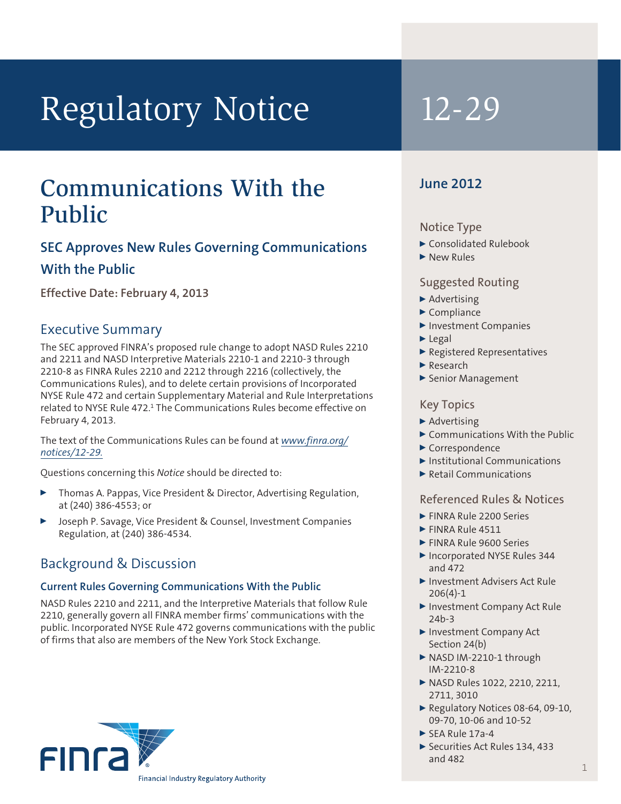# Regulatory Notice 12-29

## Communications With the Public

### **SEC Approves New Rules Governing Communications With the Public**

**Effective Date: February 4, 2013**

#### Executive Summary

The SEC approved FINRA's proposed rule change to adopt NASD Rules 2210 and 2211 and NASD Interpretive Materials 2210-1 and 2210-3 through 2210-8 as FINRA Rules 2210 and 2212 through 2216 (collectively, the Communications Rules), and to delete certain provisions of Incorporated NYSE Rule 472 and certain Supplementary Material and Rule Interpretations related to NYSE Rule 472.<sup>1</sup> The Communications Rules become effective on February 4, 2013.

The text of the Communications Rules can be found at *[www.finra.org/](http://www.finra.org/notices/12-29) [notices/12-29](http://www.finra.org/notices/12-29).*

Questions concerning this *Notice* should be directed to:

- <sup>0</sup> Thomas A. Pappas, Vice President & Director, Advertising Regulation, at (240) 386-4553; or
- <sup>0</sup> Joseph P. Savage, Vice President & Counsel, Investment Companies Regulation, at (240) 386-4534.

### Background & Discussion

#### **Current Rules Governing Communications With the Public**

NASD Rules 2210 and 2211, and the Interpretive Materials that follow Rule 2210, generally govern all FINRA member firms' communications with the public. Incorporated NYSE Rule 472 governs communications with the public of firms that also are members of the New York Stock Exchange.



#### **June 2012**

#### Notice Type

- ▶ Consolidated Rulebook
- $\blacktriangleright$  New Rules

#### Suggested Routing

- $\blacktriangleright$  Advertising
- $\blacktriangleright$  Compliance
- Investment Companies
- $\blacktriangleright$  Legal
- <sup>0</sup> Registered Representatives
- $\blacktriangleright$  Research
- <sup>0</sup> Senior Management

#### Key Topics

- $\blacktriangleright$  Advertising
- $\triangleright$  Communications With the Public
- $\blacktriangleright$  Correspondence
- $\blacktriangleright$  Institutional Communications
- ▶ Retail Communications

#### Referenced Rules & Notices

- **FINRA Rule 2200 Series**
- $\blacktriangleright$  FINRA Rule 4511
- FINRA Rule 9600 Series
- ▶ Incorporated NYSE Rules 344 and 472
- ▶ Investment Advisers Act Rule 206(4)-1
- ▶ Investment Company Act Rule 24b-3
- ▶ Investment Company Act Section 24(b)
- MASD IM-2210-1 through IM-2210-8
- NASD Rules 1022, 2210, 2211, 2711, 3010
- ▶ Regulatory Notices 08-64, 09-10, 09-70, 10-06 and 10-52
- $\triangleright$  SEA Rule 17a-4
- ▶ Securities Act Rules 134, 433 and 482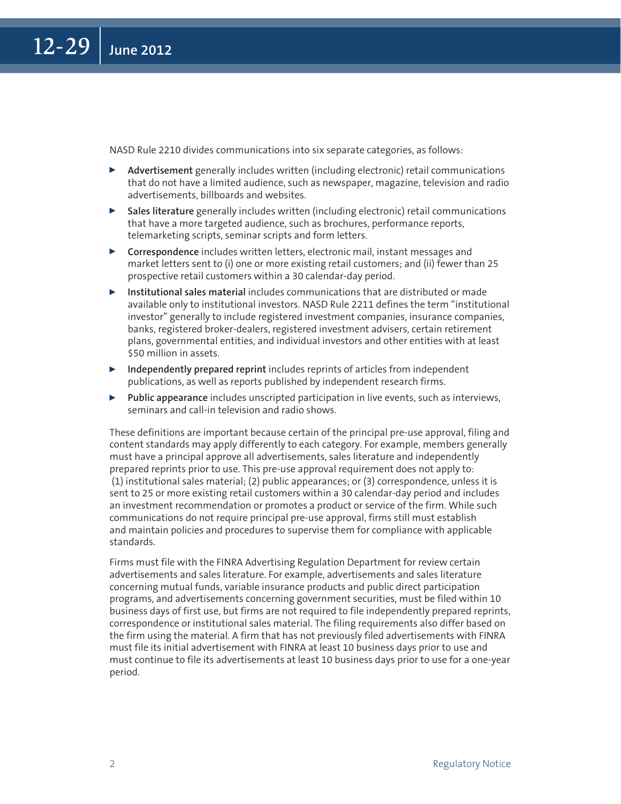NASD Rule 2210 divides communications into six separate categories, as follows:

- <sup>0</sup> **Advertisement** generally includes written (including electronic) retail communications that do not have a limited audience, such as newspaper, magazine, television and radio advertisements, billboards and websites.
- <sup>0</sup> **Sales literature** generally includes written (including electronic) retail communications that have a more targeted audience, such as brochures, performance reports, telemarketing scripts, seminar scripts and form letters.
- <sup>0</sup> **Correspondence** includes written letters, electronic mail, instant messages and market letters sent to (i) one or more existing retail customers; and (ii) fewer than 25 prospective retail customers within a 30 calendar-day period.
- <sup>0</sup> **Institutional sales material** includes communications that are distributed or made available only to institutional investors. NASD Rule 2211 defines the term "institutional investor" generally to include registered investment companies, insurance companies, banks, registered broker-dealers, registered investment advisers, certain retirement plans, governmental entities, and individual investors and other entities with at least \$50 million in assets.
- <sup>0</sup> **Independently prepared reprint** includes reprints of articles from independent publications, as well as reports published by independent research firms.
- <sup>0</sup> **Public appearance** includes unscripted participation in live events, such as interviews, seminars and call-in television and radio shows.

These definitions are important because certain of the principal pre-use approval, filing and content standards may apply differently to each category. For example, members generally must have a principal approve all advertisements, sales literature and independently prepared reprints prior to use. This pre-use approval requirement does not apply to: (1) institutional sales material; (2) public appearances; or (3) correspondence, unless it is sent to 25 or more existing retail customers within a 30 calendar-day period and includes an investment recommendation or promotes a product or service of the firm. While such communications do not require principal pre-use approval, firms still must establish and maintain policies and procedures to supervise them for compliance with applicable standards.

Firms must file with the FINRA Advertising Regulation Department for review certain advertisements and sales literature. For example, advertisements and sales literature concerning mutual funds, variable insurance products and public direct participation programs, and advertisements concerning government securities, must be filed within 10 business days of first use, but firms are not required to file independently prepared reprints, correspondence or institutional sales material. The filing requirements also differ based on the firm using the material. A firm that has not previously filed advertisements with FINRA must file its initial advertisement with FINRA at least 10 business days prior to use and must continue to file its advertisements at least 10 business days prior to use for a one-year period.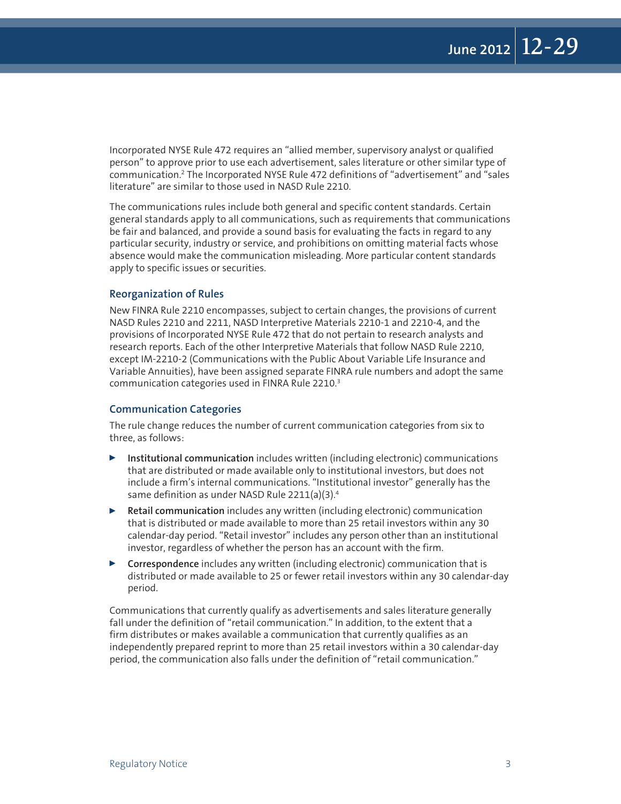Incorporated NYSE Rule 472 requires an "allied member, supervisory analyst or qualified person" to approve prior to use each advertisement, sales literature or other similar type of communication.2 The Incorporated NYSE Rule 472 definitions of "advertisement" and "sales literature" are similar to those used in NASD Rule 2210.

The communications rules include both general and specific content standards. Certain general standards apply to all communications, such as requirements that communications be fair and balanced, and provide a sound basis for evaluating the facts in regard to any particular security, industry or service, and prohibitions on omitting material facts whose absence would make the communication misleading. More particular content standards apply to specific issues or securities.

#### **Reorganization of Rules**

New FINRA Rule 2210 encompasses, subject to certain changes, the provisions of current NASD Rules 2210 and 2211, NASD Interpretive Materials 2210-1 and 2210-4, and the provisions of Incorporated NYSE Rule 472 that do not pertain to research analysts and research reports. Each of the other Interpretive Materials that follow NASD Rule 2210, except IM-2210-2 (Communications with the Public About Variable Life Insurance and Variable Annuities), have been assigned separate FINRA rule numbers and adopt the same communication categories used in FINRA Rule 2210.3

#### **Communication Categories**

The rule change reduces the number of current communication categories from six to three, as follows:

- **Institutional communication** includes written (including electronic) communications that are distributed or made available only to institutional investors, but does not include a firm's internal communications. "Institutional investor" generally has the same definition as under NASD Rule 2211(a)(3).4
- <sup>0</sup> **Retail communication** includes any written (including electronic) communication that is distributed or made available to more than 25 retail investors within any 30 calendar-day period. "Retail investor" includes any person other than an institutional investor, regardless of whether the person has an account with the firm.
- **Correspondence** includes any written (including electronic) communication that is distributed or made available to 25 or fewer retail investors within any 30 calendar-day period.

Communications that currently qualify as advertisements and sales literature generally fall under the definition of "retail communication." In addition, to the extent that a firm distributes or makes available a communication that currently qualifies as an independently prepared reprint to more than 25 retail investors within a 30 calendar-day period, the communication also falls under the definition of "retail communication."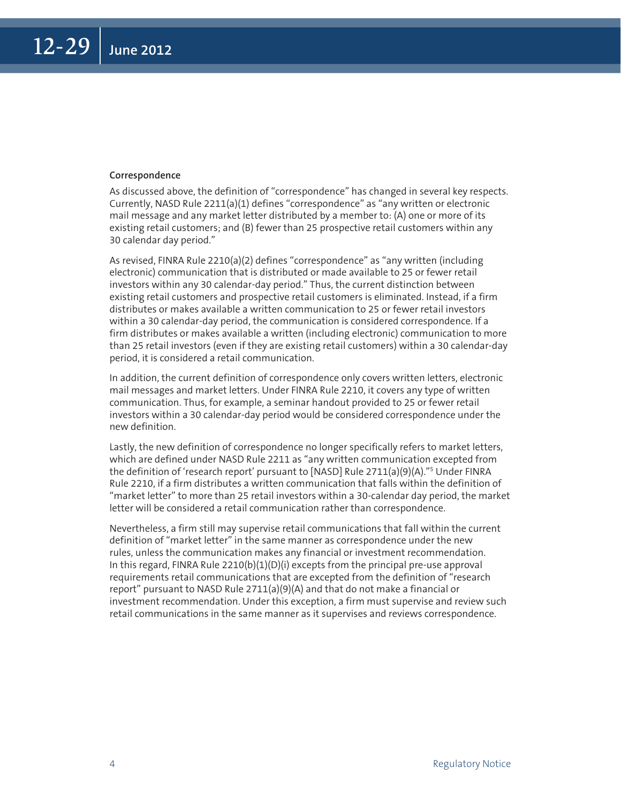#### **Correspondence**

As discussed above, the definition of "correspondence" has changed in several key respects. Currently, NASD Rule 2211(a)(1) defines "correspondence" as "any written or electronic mail message and any market letter distributed by a member to: (A) one or more of its existing retail customers; and (B) fewer than 25 prospective retail customers within any 30 calendar day period."

As revised, FINRA Rule 2210(a)(2) defines "correspondence" as "any written (including electronic) communication that is distributed or made available to 25 or fewer retail investors within any 30 calendar-day period." Thus, the current distinction between existing retail customers and prospective retail customers is eliminated. Instead, if a firm distributes or makes available a written communication to 25 or fewer retail investors within a 30 calendar-day period, the communication is considered correspondence. If a firm distributes or makes available a written (including electronic) communication to more than 25 retail investors (even if they are existing retail customers) within a 30 calendar-day period, it is considered a retail communication.

In addition, the current definition of correspondence only covers written letters, electronic mail messages and market letters. Under FINRA Rule 2210, it covers any type of written communication. Thus, for example, a seminar handout provided to 25 or fewer retail investors within a 30 calendar-day period would be considered correspondence under the new definition.

Lastly, the new definition of correspondence no longer specifically refers to market letters, which are defined under NASD Rule 2211 as "any written communication excepted from the definition of 'research report' pursuant to [NASD] Rule 2711(a)(9)(A)."<sup>5</sup> Under FINRA Rule 2210, if a firm distributes a written communication that falls within the definition of "market letter" to more than 25 retail investors within a 30-calendar day period, the market letter will be considered a retail communication rather than correspondence.

Nevertheless, a firm still may supervise retail communications that fall within the current definition of "market letter" in the same manner as correspondence under the new rules, unless the communication makes any financial or investment recommendation. In this regard, FINRA Rule 2210(b)(1)(D)(i) excepts from the principal pre-use approval requirements retail communications that are excepted from the definition of "research report" pursuant to NASD Rule 2711(a)(9)(A) and that do not make a financial or investment recommendation. Under this exception, a firm must supervise and review such retail communications in the same manner as it supervises and reviews correspondence.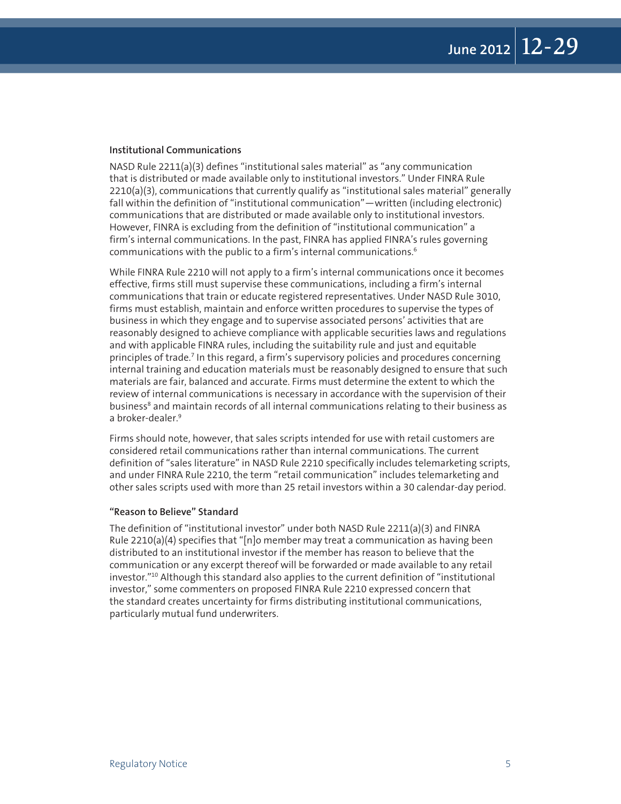#### **Institutional Communications**

NASD Rule 2211(a)(3) defines "institutional sales material" as "any communication that is distributed or made available only to institutional investors." Under FINRA Rule 2210(a)(3), communications that currently qualify as "institutional sales material" generally fall within the definition of "institutional communication"—written (including electronic) communications that are distributed or made available only to institutional investors. However, FINRA is excluding from the definition of "institutional communication" a firm's internal communications. In the past, FINRA has applied FINRA's rules governing communications with the public to a firm's internal communications.6

While FINRA Rule 2210 will not apply to a firm's internal communications once it becomes effective, firms still must supervise these communications, including a firm's internal communications that train or educate registered representatives. Under NASD Rule 3010, firms must establish, maintain and enforce written procedures to supervise the types of business in which they engage and to supervise associated persons' activities that are reasonably designed to achieve compliance with applicable securities laws and regulations and with applicable FINRA rules, including the suitability rule and just and equitable principles of trade.7 In this regard, a firm's supervisory policies and procedures concerning internal training and education materials must be reasonably designed to ensure that such materials are fair, balanced and accurate. Firms must determine the extent to which the review of internal communications is necessary in accordance with the supervision of their business<sup>8</sup> and maintain records of all internal communications relating to their business as a broker-dealer.9

Firms should note, however, that sales scripts intended for use with retail customers are considered retail communications rather than internal communications. The current definition of "sales literature" in NASD Rule 2210 specifically includes telemarketing scripts, and under FINRA Rule 2210, the term "retail communication" includes telemarketing and other sales scripts used with more than 25 retail investors within a 30 calendar-day period.

#### **"Reason to Believe" Standard**

The definition of "institutional investor" under both NASD Rule 2211(a)(3) and FINRA Rule  $2210(a)(4)$  specifies that "[n]o member may treat a communication as having been distributed to an institutional investor if the member has reason to believe that the communication or any excerpt thereof will be forwarded or made available to any retail investor."10 Although this standard also applies to the current definition of "institutional investor," some commenters on proposed FINRA Rule 2210 expressed concern that the standard creates uncertainty for firms distributing institutional communications, particularly mutual fund underwriters.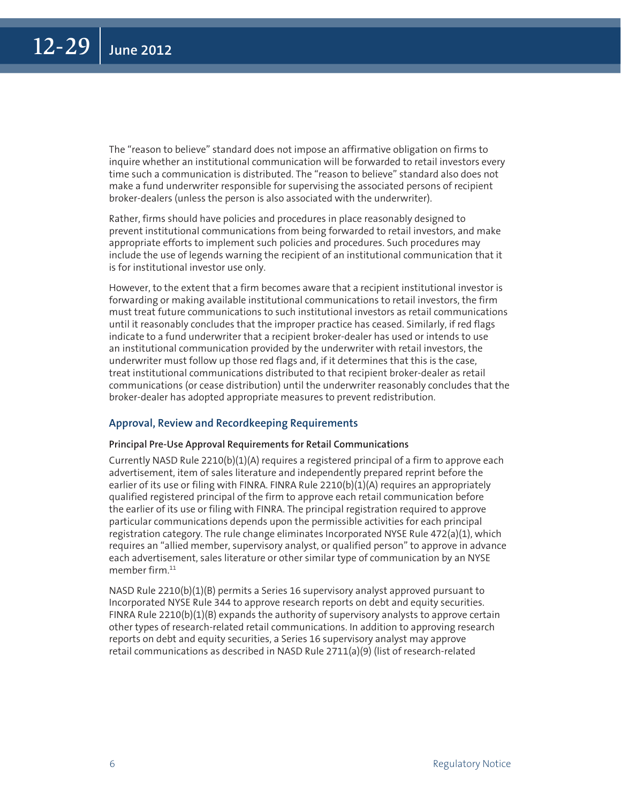The "reason to believe" standard does not impose an affirmative obligation on firms to inquire whether an institutional communication will be forwarded to retail investors every time such a communication is distributed. The "reason to believe" standard also does not make a fund underwriter responsible for supervising the associated persons of recipient broker-dealers (unless the person is also associated with the underwriter).

Rather, firms should have policies and procedures in place reasonably designed to prevent institutional communications from being forwarded to retail investors, and make appropriate efforts to implement such policies and procedures. Such procedures may include the use of legends warning the recipient of an institutional communication that it is for institutional investor use only.

However, to the extent that a firm becomes aware that a recipient institutional investor is forwarding or making available institutional communications to retail investors, the firm must treat future communications to such institutional investors as retail communications until it reasonably concludes that the improper practice has ceased. Similarly, if red flags indicate to a fund underwriter that a recipient broker-dealer has used or intends to use an institutional communication provided by the underwriter with retail investors, the underwriter must follow up those red flags and, if it determines that this is the case, treat institutional communications distributed to that recipient broker-dealer as retail communications (or cease distribution) until the underwriter reasonably concludes that the broker-dealer has adopted appropriate measures to prevent redistribution.

#### **Approval, Review and Recordkeeping Requirements**

#### **Principal Pre-Use Approval Requirements for Retail Communications**

Currently NASD Rule 2210(b)(1)(A) requires a registered principal of a firm to approve each advertisement, item of sales literature and independently prepared reprint before the earlier of its use or filing with FINRA. FINRA Rule 2210(b)(1)(A) requires an appropriately qualified registered principal of the firm to approve each retail communication before the earlier of its use or filing with FINRA. The principal registration required to approve particular communications depends upon the permissible activities for each principal registration category. The rule change eliminates Incorporated NYSE Rule 472(a)(1), which requires an "allied member, supervisory analyst, or qualified person" to approve in advance each advertisement, sales literature or other similar type of communication by an NYSE member firm.11

NASD Rule 2210(b)(1)(B) permits a Series 16 supervisory analyst approved pursuant to Incorporated NYSE Rule 344 to approve research reports on debt and equity securities. FINRA Rule  $2210(b)(1)(B)$  expands the authority of supervisory analysts to approve certain other types of research-related retail communications. In addition to approving research reports on debt and equity securities, a Series 16 supervisory analyst may approve retail communications as described in NASD Rule 2711(a)(9) (list of research-related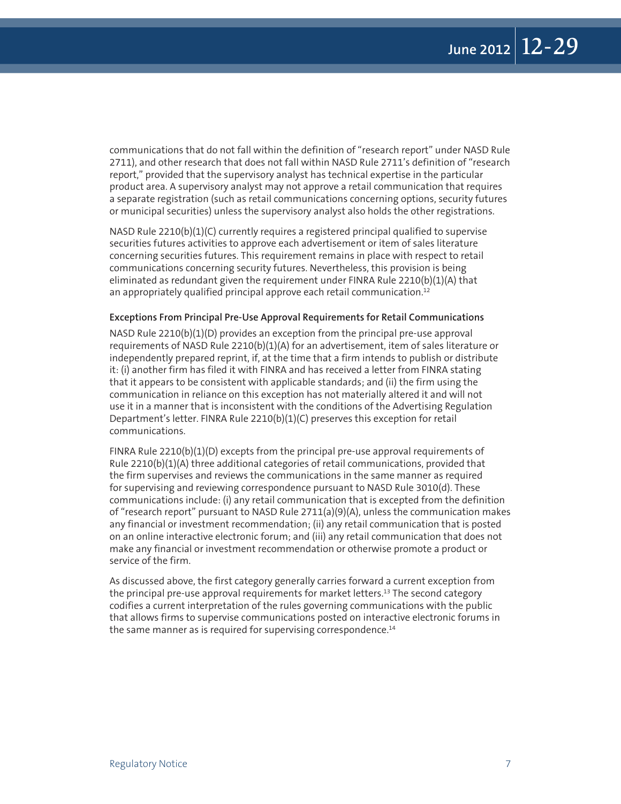communications that do not fall within the definition of "research report" under NASD Rule 2711), and other research that does not fall within NASD Rule 2711's definition of "research report," provided that the supervisory analyst has technical expertise in the particular product area. A supervisory analyst may not approve a retail communication that requires a separate registration (such as retail communications concerning options, security futures or municipal securities) unless the supervisory analyst also holds the other registrations.

NASD Rule 2210(b)(1)(C) currently requires a registered principal qualified to supervise securities futures activities to approve each advertisement or item of sales literature concerning securities futures. This requirement remains in place with respect to retail communications concerning security futures. Nevertheless, this provision is being eliminated as redundant given the requirement under FINRA Rule  $2210(b)(1)(A)$  that an appropriately qualified principal approve each retail communication. $12$ 

#### **Exceptions From Principal Pre-Use Approval Requirements for Retail Communications**

NASD Rule 2210(b)(1)(D) provides an exception from the principal pre-use approval requirements of NASD Rule  $2210(b)(1)(A)$  for an advertisement, item of sales literature or independently prepared reprint, if, at the time that a firm intends to publish or distribute it: (i) another firm has filed it with FINRA and has received a letter from FINRA stating that it appears to be consistent with applicable standards; and (ii) the firm using the communication in reliance on this exception has not materially altered it and will not use it in a manner that is inconsistent with the conditions of the Advertising Regulation Department's letter. FINRA Rule 2210(b)(1)(C) preserves this exception for retail communications.

FINRA Rule 2210(b)(1)(D) excepts from the principal pre-use approval requirements of Rule 2210(b)(1)(A) three additional categories of retail communications, provided that the firm supervises and reviews the communications in the same manner as required for supervising and reviewing correspondence pursuant to NASD Rule 3010(d). These communications include: (i) any retail communication that is excepted from the definition of "research report" pursuant to NASD Rule 2711(a)(9)(A), unless the communication makes any financial or investment recommendation; (ii) any retail communication that is posted on an online interactive electronic forum; and (iii) any retail communication that does not make any financial or investment recommendation or otherwise promote a product or service of the firm.

As discussed above, the first category generally carries forward a current exception from the principal pre-use approval requirements for market letters.<sup>13</sup> The second category codifies a current interpretation of the rules governing communications with the public that allows firms to supervise communications posted on interactive electronic forums in the same manner as is required for supervising correspondence. $14$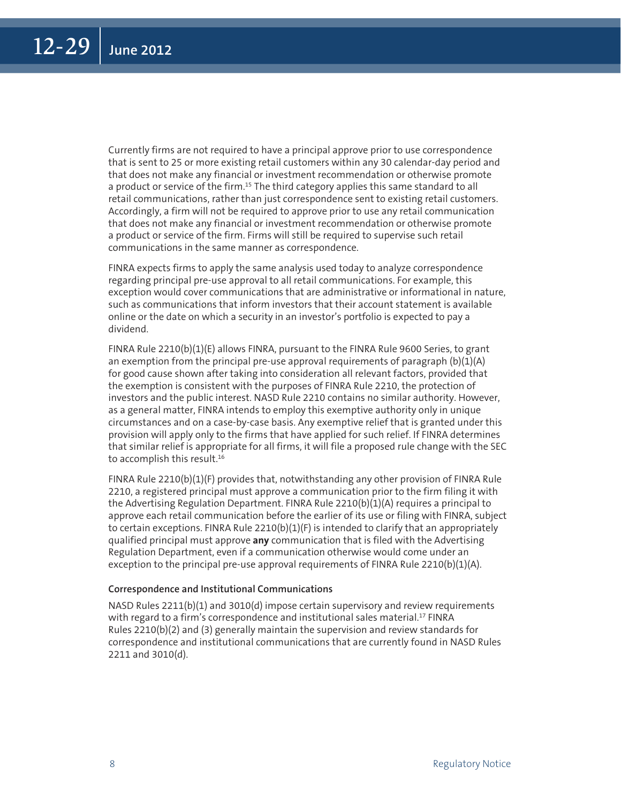Currently firms are not required to have a principal approve prior to use correspondence that is sent to 25 or more existing retail customers within any 30 calendar-day period and that does not make any financial or investment recommendation or otherwise promote a product or service of the firm.15 The third category applies this same standard to all retail communications, rather than just correspondence sent to existing retail customers. Accordingly, a firm will not be required to approve prior to use any retail communication that does not make any financial or investment recommendation or otherwise promote a product or service of the firm. Firms will still be required to supervise such retail communications in the same manner as correspondence.

FINRA expects firms to apply the same analysis used today to analyze correspondence regarding principal pre-use approval to all retail communications. For example, this exception would cover communications that are administrative or informational in nature, such as communications that inform investors that their account statement is available online or the date on which a security in an investor's portfolio is expected to pay a dividend.

FINRA Rule 2210(b)(1)(E) allows FINRA, pursuant to the FINRA Rule 9600 Series, to grant an exemption from the principal pre-use approval requirements of paragraph  $(b)(1)(A)$ for good cause shown after taking into consideration all relevant factors, provided that the exemption is consistent with the purposes of FINRA Rule 2210, the protection of investors and the public interest. NASD Rule 2210 contains no similar authority. However, as a general matter, FINRA intends to employ this exemptive authority only in unique circumstances and on a case-by-case basis. Any exemptive relief that is granted under this provision will apply only to the firms that have applied for such relief. If FINRA determines that similar relief is appropriate for all firms, it will file a proposed rule change with the SEC to accomplish this result.<sup>16</sup>

FINRA Rule 2210(b)(1)(F) provides that, notwithstanding any other provision of FINRA Rule 2210, a registered principal must approve a communication prior to the firm filing it with the Advertising Regulation Department. FINRA Rule 2210(b)(1)(A) requires a principal to approve each retail communication before the earlier of its use or filing with FINRA, subject to certain exceptions. FINRA Rule  $2210(b)(1)(F)$  is intended to clarify that an appropriately qualified principal must approve **any** communication that is filed with the Advertising Regulation Department, even if a communication otherwise would come under an exception to the principal pre-use approval requirements of FINRA Rule 2210(b)(1)(A).

#### **Correspondence and Institutional Communications**

NASD Rules 2211(b)(1) and 3010(d) impose certain supervisory and review requirements with regard to a firm's correspondence and institutional sales material.<sup>17</sup> FINRA Rules 2210(b)(2) and (3) generally maintain the supervision and review standards for correspondence and institutional communications that are currently found in NASD Rules 2211 and 3010(d).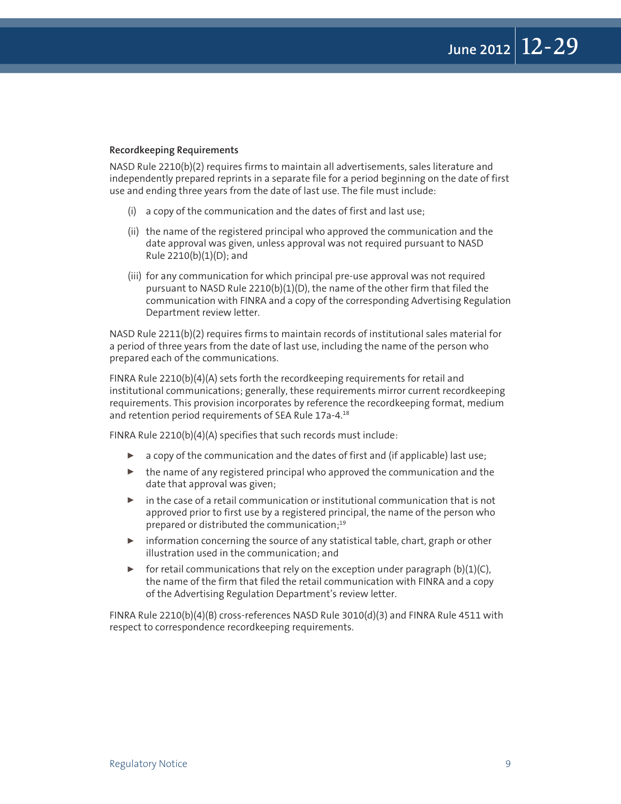#### **Recordkeeping Requirements**

NASD Rule 2210(b)(2) requires firms to maintain all advertisements, sales literature and independently prepared reprints in a separate file for a period beginning on the date of first use and ending three years from the date of last use. The file must include:

- (i) a copy of the communication and the dates of first and last use;
- (ii) the name of the registered principal who approved the communication and the date approval was given, unless approval was not required pursuant to NASD Rule 2210(b)(1)(D); and
- (iii) for any communication for which principal pre-use approval was not required pursuant to NASD Rule 2210(b)(1)(D), the name of the other firm that filed the communication with FINRA and a copy of the corresponding Advertising Regulation Department review letter.

NASD Rule 2211(b)(2) requires firms to maintain records of institutional sales material for a period of three years from the date of last use, including the name of the person who prepared each of the communications.

FINRA Rule 2210(b)(4)(A) sets forth the recordkeeping requirements for retail and institutional communications; generally, these requirements mirror current recordkeeping requirements. This provision incorporates by reference the recordkeeping format, medium and retention period requirements of SEA Rule 17a-4.18

FINRA Rule 2210(b)(4)(A) specifies that such records must include:

- $\triangleright$  a copy of the communication and the dates of first and (if applicable) last use;
- $\blacktriangleright$  the name of any registered principal who approved the communication and the date that approval was given;
- $\triangleright$  in the case of a retail communication or institutional communication that is not approved prior to first use by a registered principal, the name of the person who prepared or distributed the communication;<sup>19</sup>
- $\triangleright$  information concerning the source of any statistical table, chart, graph or other illustration used in the communication; and
- $\triangleright$  for retail communications that rely on the exception under paragraph (b)(1)(C), the name of the firm that filed the retail communication with FINRA and a copy of the Advertising Regulation Department's review letter.

FINRA Rule 2210(b)(4)(B) cross-references NASD Rule 3010(d)(3) and FINRA Rule 4511 with respect to correspondence recordkeeping requirements.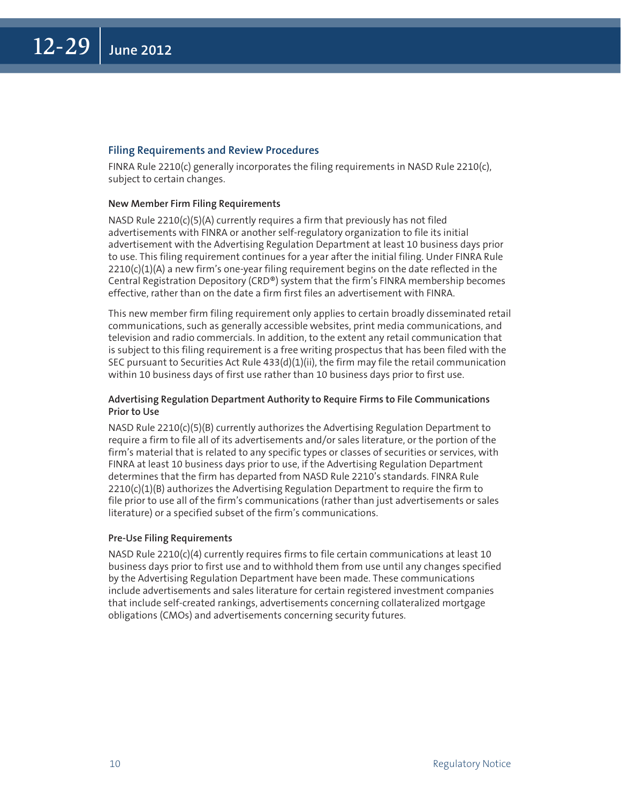#### **Filing Requirements and Review Procedures**

FINRA Rule 2210(c) generally incorporates the filing requirements in NASD Rule 2210(c), subject to certain changes.

#### **New Member Firm Filing Requirements**

NASD Rule 2210(c)(5)(A) currently requires a firm that previously has not filed advertisements with FINRA or another self-regulatory organization to file its initial advertisement with the Advertising Regulation Department at least 10 business days prior to use. This filing requirement continues for a year after the initial filing. Under FINRA Rule  $2210(c)(1)(A)$  a new firm's one-year filing requirement begins on the date reflected in the Central Registration Depository (CRD®) system that the firm's FINRA membership becomes effective, rather than on the date a firm first files an advertisement with FINRA.

This new member firm filing requirement only applies to certain broadly disseminated retail communications, such as generally accessible websites, print media communications, and television and radio commercials. In addition, to the extent any retail communication that is subject to this filing requirement is a free writing prospectus that has been filed with the SEC pursuant to Securities Act Rule 433(d)(1)(ii), the firm may file the retail communication within 10 business days of first use rather than 10 business days prior to first use.

#### **Advertising Regulation Department Authority to Require Firms to File Communications Prior to Use**

NASD Rule 2210(c)(5)(B) currently authorizes the Advertising Regulation Department to require a firm to file all of its advertisements and/or sales literature, or the portion of the firm's material that is related to any specific types or classes of securities or services, with FINRA at least 10 business days prior to use, if the Advertising Regulation Department determines that the firm has departed from NASD Rule 2210's standards. FINRA Rule  $2210(c)(1)(B)$  authorizes the Advertising Regulation Department to require the firm to file prior to use all of the firm's communications (rather than just advertisements or sales literature) or a specified subset of the firm's communications.

#### **Pre-Use Filing Requirements**

NASD Rule  $2210(c)(4)$  currently requires firms to file certain communications at least 10 business days prior to first use and to withhold them from use until any changes specified by the Advertising Regulation Department have been made. These communications include advertisements and sales literature for certain registered investment companies that include self-created rankings, advertisements concerning collateralized mortgage obligations (CMOs) and advertisements concerning security futures.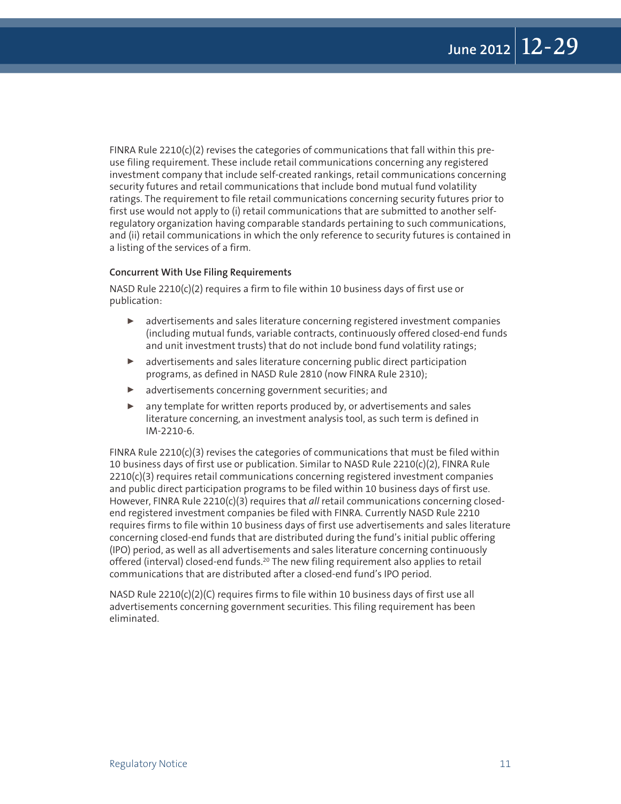FINRA Rule 2210(c)(2) revises the categories of communications that fall within this preuse filing requirement. These include retail communications concerning any registered investment company that include self-created rankings, retail communications concerning security futures and retail communications that include bond mutual fund volatility ratings. The requirement to file retail communications concerning security futures prior to first use would not apply to (i) retail communications that are submitted to another selfregulatory organization having comparable standards pertaining to such communications, and (ii) retail communications in which the only reference to security futures is contained in a listing of the services of a firm.

#### **Concurrent With Use Filing Requirements**

NASD Rule  $2210(c)(2)$  requires a firm to file within 10 business days of first use or publication:

- $\blacktriangleright$  advertisements and sales literature concerning registered investment companies (including mutual funds, variable contracts, continuously offered closed-end funds and unit investment trusts) that do not include bond fund volatility ratings;
- $\blacktriangleright$  advertisements and sales literature concerning public direct participation programs, as defined in NASD Rule 2810 (now FINRA Rule 2310);
- $\blacktriangleright$  advertisements concerning government securities; and
- $\triangleright$  any template for written reports produced by, or advertisements and sales literature concerning, an investment analysis tool, as such term is defined in IM-2210-6.

FINRA Rule 2210(c)(3) revises the categories of communications that must be filed within 10 business days of first use or publication. Similar to NASD Rule  $2210(c)(2)$ , FINRA Rule  $2210(c)(3)$  requires retail communications concerning registered investment companies and public direct participation programs to be filed within 10 business days of first use. However, FINRA Rule 2210(c)(3) requires that *all* retail communications concerning closedend registered investment companies be filed with FINRA. Currently NASD Rule 2210 requires firms to file within 10 business days of first use advertisements and sales literature concerning closed-end funds that are distributed during the fund's initial public offering (IPO) period, as well as all advertisements and sales literature concerning continuously offered (interval) closed-end funds.<sup>20</sup> The new filing requirement also applies to retail communications that are distributed after a closed-end fund's IPO period.

NASD Rule  $2210(c)(2)(C)$  requires firms to file within 10 business days of first use all advertisements concerning government securities. This filing requirement has been eliminated.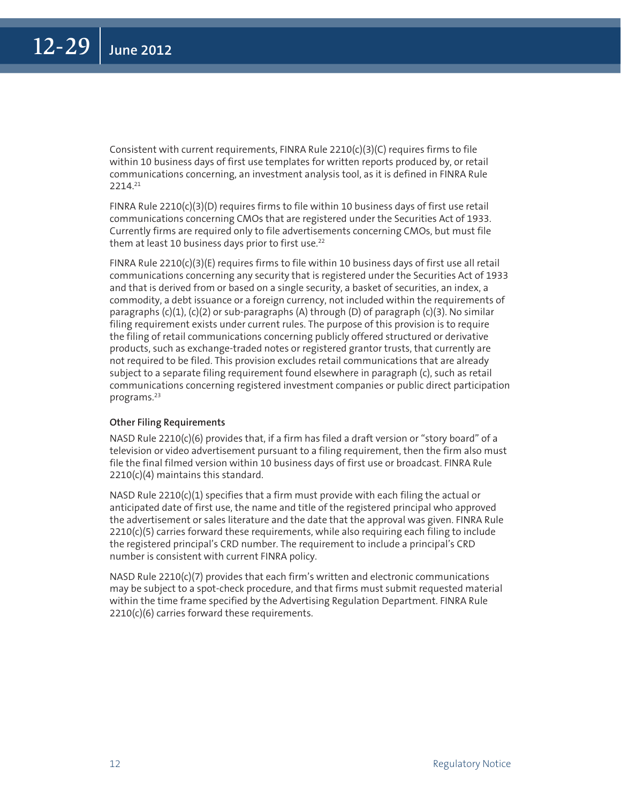Consistent with current requirements, FINRA Rule  $2210(c)(3)(C)$  requires firms to file within 10 business days of first use templates for written reports produced by, or retail communications concerning, an investment analysis tool, as it is defined in FINRA Rule 2214.21

FINRA Rule  $2210(c)(3)(D)$  requires firms to file within 10 business days of first use retail communications concerning CMOs that are registered under the Securities Act of 1933. Currently firms are required only to file advertisements concerning CMOs, but must file them at least 10 business days prior to first use. $22$ 

FINRA Rule  $2210(c)(3)(E)$  requires firms to file within 10 business days of first use all retail communications concerning any security that is registered under the Securities Act of 1933 and that is derived from or based on a single security, a basket of securities, an index, a commodity, a debt issuance or a foreign currency, not included within the requirements of paragraphs (c)(1), (c)(2) or sub-paragraphs (A) through (D) of paragraph (c)(3). No similar filing requirement exists under current rules. The purpose of this provision is to require the filing of retail communications concerning publicly offered structured or derivative products, such as exchange-traded notes or registered grantor trusts, that currently are not required to be filed. This provision excludes retail communications that are already subject to a separate filing requirement found elsewhere in paragraph (c), such as retail communications concerning registered investment companies or public direct participation programs.23

#### **Other Filing Requirements**

NASD Rule  $2210(c)(6)$  provides that, if a firm has filed a draft version or "story board" of a television or video advertisement pursuant to a filing requirement, then the firm also must file the final filmed version within 10 business days of first use or broadcast. FINRA Rule 2210(c)(4) maintains this standard.

NASD Rule  $2210(c)(1)$  specifies that a firm must provide with each filing the actual or anticipated date of first use, the name and title of the registered principal who approved the advertisement or sales literature and the date that the approval was given. FINRA Rule  $2210(c)(5)$  carries forward these requirements, while also requiring each filing to include the registered principal's CRD number. The requirement to include a principal's CRD number is consistent with current FINRA policy.

NASD Rule  $2210(c)(7)$  provides that each firm's written and electronic communications may be subject to a spot-check procedure, and that firms must submit requested material within the time frame specified by the Advertising Regulation Department. FINRA Rule  $2210(c)(6)$  carries forward these requirements.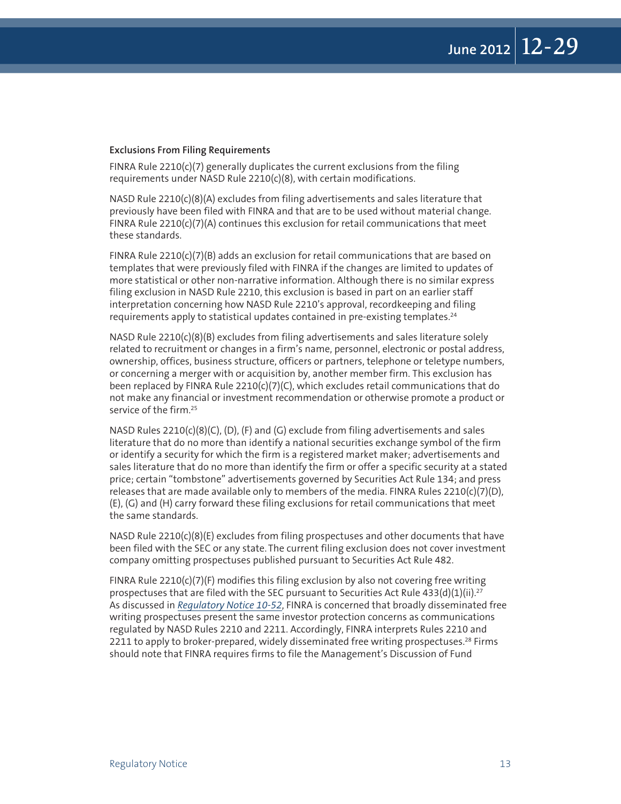#### **Exclusions From Filing Requirements**

FINRA Rule 2210(c)(7) generally duplicates the current exclusions from the filing requirements under NASD Rule 2210(c)(8), with certain modifications.

NASD Rule  $2210(c)(8)(A)$  excludes from filing advertisements and sales literature that previously have been filed with FINRA and that are to be used without material change. FINRA Rule 2210(c)(7)(A) continues this exclusion for retail communications that meet these standards.

FINRA Rule 2210(c)(7)(B) adds an exclusion for retail communications that are based on templates that were previously filed with FINRA if the changes are limited to updates of more statistical or other non-narrative information. Although there is no similar express filing exclusion in NASD Rule 2210, this exclusion is based in part on an earlier staff interpretation concerning how NASD Rule 2210's approval, recordkeeping and filing requirements apply to statistical updates contained in pre-existing templates.<sup>24</sup>

NASD Rule 2210(c)(8)(B) excludes from filing advertisements and sales literature solely related to recruitment or changes in a firm's name, personnel, electronic or postal address, ownership, offices, business structure, officers or partners, telephone or teletype numbers, or concerning a merger with or acquisition by, another member firm. This exclusion has been replaced by FINRA Rule  $2210(c)(7)(C)$ , which excludes retail communications that do not make any financial or investment recommendation or otherwise promote a product or service of the firm.25

NASD Rules  $2210(c)(8)(C)$ , (D), (F) and (G) exclude from filing advertisements and sales literature that do no more than identify a national securities exchange symbol of the firm or identify a security for which the firm is a registered market maker; advertisements and sales literature that do no more than identify the firm or offer a specific security at a stated price; certain "tombstone" advertisements governed by Securities Act Rule 134; and press releases that are made available only to members of the media. FINRA Rules  $2210(c)(7)(D)$ , (E), (G) and (H) carry forward these filing exclusions for retail communications that meet the same standards.

NASD Rule 2210(c)(8)(E) excludes from filing prospectuses and other documents that have been filed with the SEC or any state. The current filing exclusion does not cover investment company omitting prospectuses published pursuant to Securities Act Rule 482.

FINRA Rule 2210(c)(7)(F) modifies this filing exclusion by also not covering free writing prospectuses that are filed with the SEC pursuant to Securities Act Rule  $433(d)(1)(ii).^{27}$ As discussed in *[Regulatory Notice 10-52](http://www.finra.org/Industry/Regulation/Notices/2010/P122311)*, FINRA is concerned that broadly disseminated free writing prospectuses present the same investor protection concerns as communications regulated by NASD Rules 2210 and 2211. Accordingly, FINRA interprets Rules 2210 and 2211 to apply to broker-prepared, widely disseminated free writing prospectuses.<sup>28</sup> Firms should note that FINRA requires firms to file the Management's Discussion of Fund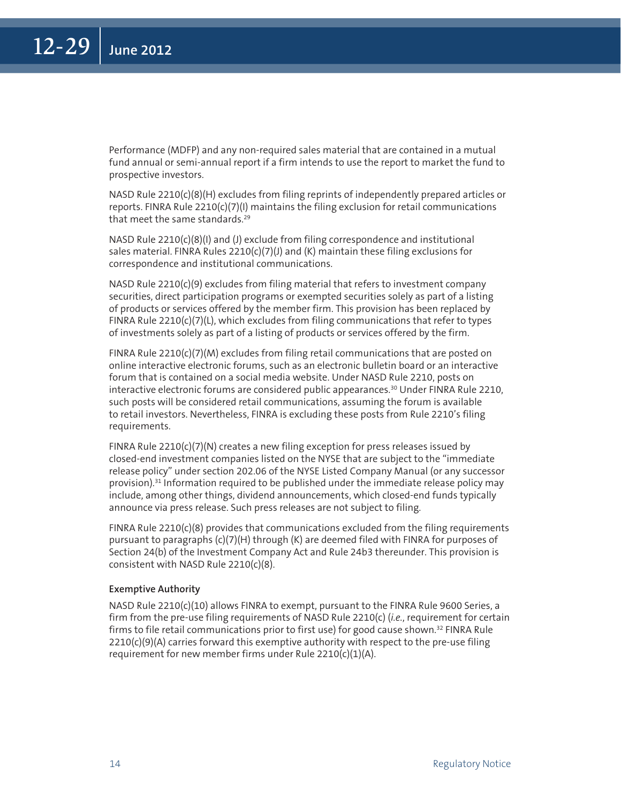Performance (MDFP) and any non-required sales material that are contained in a mutual fund annual or semi-annual report if a firm intends to use the report to market the fund to prospective investors.

NASD Rule 2210(c)(8)(H) excludes from filing reprints of independently prepared articles or reports. FINRA Rule  $2210(c)(7)(1)$  maintains the filing exclusion for retail communications that meet the same standards.<sup>29</sup>

NASD Rule 2210(c)(8)(I) and (J) exclude from filing correspondence and institutional sales material. FINRA Rules  $2210(c)(7)(J)$  and (K) maintain these filing exclusions for correspondence and institutional communications.

NASD Rule 2210(c)(9) excludes from filing material that refers to investment company securities, direct participation programs or exempted securities solely as part of a listing of products or services offered by the member firm. This provision has been replaced by FINRA Rule  $2210(c)(7)(L)$ , which excludes from filing communications that refer to types of investments solely as part of a listing of products or services offered by the firm.

FINRA Rule  $2210(c)(7)(M)$  excludes from filing retail communications that are posted on online interactive electronic forums, such as an electronic bulletin board or an interactive forum that is contained on a social media website. Under NASD Rule 2210, posts on interactive electronic forums are considered public appearances.<sup>30</sup> Under FINRA Rule 2210, such posts will be considered retail communications, assuming the forum is available to retail investors. Nevertheless, FINRA is excluding these posts from Rule 2210's filing requirements.

FINRA Rule 2210(c)(7)(N) creates a new filing exception for press releases issued by closed-end investment companies listed on the NYSE that are subject to the "immediate release policy" under section 202.06 of the NYSE Listed Company Manual (or any successor provision).<sup>31</sup> Information required to be published under the immediate release policy may include, among other things, dividend announcements, which closed-end funds typically announce via press release. Such press releases are not subject to filing.

FINRA Rule  $2210(c)(8)$  provides that communications excluded from the filing requirements pursuant to paragraphs (c)(7)(H) through (K) are deemed filed with FINRA for purposes of Section 24(b) of the Investment Company Act and Rule 24b3 thereunder. This provision is consistent with NASD Rule 2210(c)(8).

#### **Exemptive Authority**

NASD Rule 2210(c)(10) allows FINRA to exempt, pursuant to the FINRA Rule 9600 Series, a firm from the pre-use filing requirements of NASD Rule 2210(c) (*i.e.*, requirement for certain firms to file retail communications prior to first use) for good cause shown.<sup>32</sup> FINRA Rule  $2210(c)(9)(A)$  carries forward this exemptive authority with respect to the pre-use filing requirement for new member firms under Rule 2210(c)(1)(A).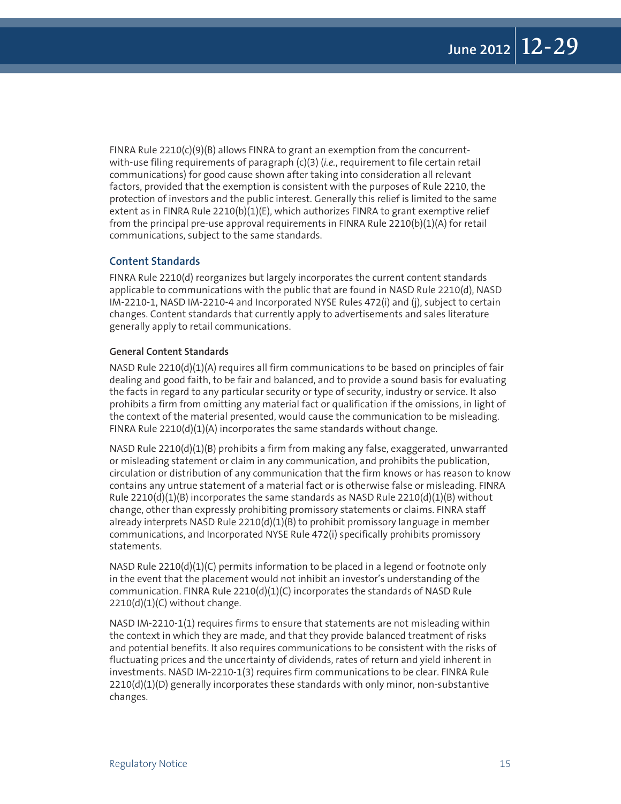FINRA Rule 2210(c)(9)(B) allows FINRA to grant an exemption from the concurrentwith-use filing requirements of paragraph (c)(3) (*i.e.*, requirement to file certain retail communications) for good cause shown after taking into consideration all relevant factors, provided that the exemption is consistent with the purposes of Rule 2210, the protection of investors and the public interest. Generally this relief is limited to the same extent as in FINRA Rule  $2210(b)(1)(E)$ , which authorizes FINRA to grant exemptive relief from the principal pre-use approval requirements in FINRA Rule 2210(b)(1)(A) for retail communications, subject to the same standards.

#### **Content Standards**

FINRA Rule 2210(d) reorganizes but largely incorporates the current content standards applicable to communications with the public that are found in NASD Rule 2210(d), NASD IM-2210-1, NASD IM-2210-4 and Incorporated NYSE Rules 472(i) and (j), subject to certain changes. Content standards that currently apply to advertisements and sales literature generally apply to retail communications.

#### **General Content Standards**

NASD Rule 2210(d)(1)(A) requires all firm communications to be based on principles of fair dealing and good faith, to be fair and balanced, and to provide a sound basis for evaluating the facts in regard to any particular security or type of security, industry or service. It also prohibits a firm from omitting any material fact or qualification if the omissions, in light of the context of the material presented, would cause the communication to be misleading. FINRA Rule 2210(d)(1)(A) incorporates the same standards without change.

NASD Rule  $2210(d)(1)(B)$  prohibits a firm from making any false, exaggerated, unwarranted or misleading statement or claim in any communication, and prohibits the publication, circulation or distribution of any communication that the firm knows or has reason to know contains any untrue statement of a material fact or is otherwise false or misleading. FINRA Rule  $2210(d)(1)(B)$  incorporates the same standards as NASD Rule  $2210(d)(1)(B)$  without change, other than expressly prohibiting promissory statements or claims. FINRA staff already interprets NASD Rule  $2210(d)(1)(B)$  to prohibit promissory language in member communications, and Incorporated NYSE Rule 472(i) specifically prohibits promissory statements.

NASD Rule  $2210(d)(1)(C)$  permits information to be placed in a legend or footnote only in the event that the placement would not inhibit an investor's understanding of the communication. FINRA Rule 2210(d)(1)(C) incorporates the standards of NASD Rule  $2210(d)(1)(C)$  without change.

NASD IM-2210-1(1) requires firms to ensure that statements are not misleading within the context in which they are made, and that they provide balanced treatment of risks and potential benefits. It also requires communications to be consistent with the risks of fluctuating prices and the uncertainty of dividends, rates of return and yield inherent in investments. NASD IM-2210-1(3) requires firm communications to be clear. FINRA Rule 2210(d)(1)(D) generally incorporates these standards with only minor, non-substantive changes.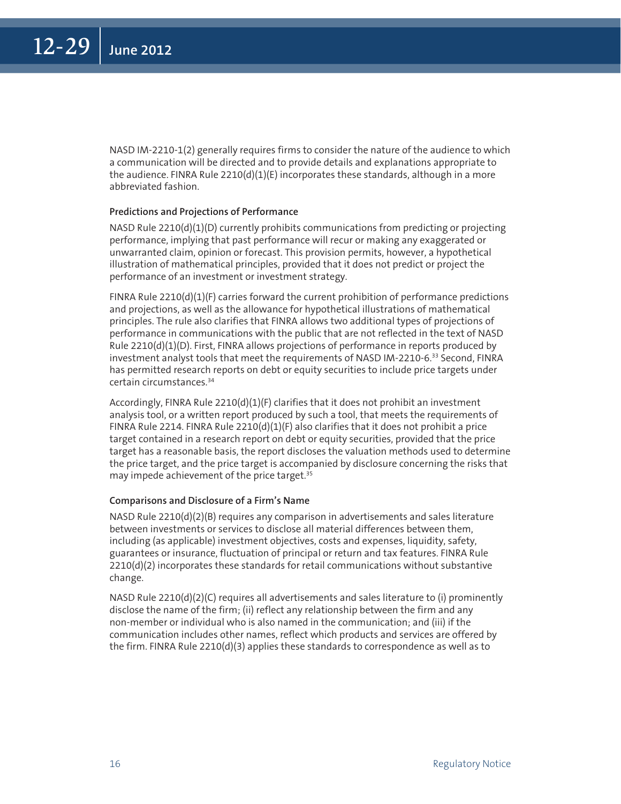NASD IM-2210-1(2) generally requires firms to consider the nature of the audience to which a communication will be directed and to provide details and explanations appropriate to the audience. FINRA Rule  $2210(d)(1)(E)$  incorporates these standards, although in a more abbreviated fashion.

#### **Predictions and Projections of Performance**

NASD Rule  $2210(d)(1)(D)$  currently prohibits communications from predicting or projecting performance, implying that past performance will recur or making any exaggerated or unwarranted claim, opinion or forecast. This provision permits, however, a hypothetical illustration of mathematical principles, provided that it does not predict or project the performance of an investment or investment strategy.

FINRA Rule 2210(d)(1)(F) carries forward the current prohibition of performance predictions and projections, as well as the allowance for hypothetical illustrations of mathematical principles. The rule also clarifies that FINRA allows two additional types of projections of performance in communications with the public that are not reflected in the text of NASD Rule 2210(d)(1)(D). First, FINRA allows projections of performance in reports produced by investment analyst tools that meet the requirements of NASD IM-2210-6.<sup>33</sup> Second, FINRA has permitted research reports on debt or equity securities to include price targets under certain circumstances.34

Accordingly, FINRA Rule 2210(d)(1)(F) clarifies that it does not prohibit an investment analysis tool, or a written report produced by such a tool, that meets the requirements of FINRA Rule 2214. FINRA Rule 2210(d)(1)(F) also clarifies that it does not prohibit a price target contained in a research report on debt or equity securities, provided that the price target has a reasonable basis, the report discloses the valuation methods used to determine the price target, and the price target is accompanied by disclosure concerning the risks that may impede achievement of the price target.<sup>35</sup>

#### **Comparisons and Disclosure of a Firm's Name**

NASD Rule 2210(d)(2)(B) requires any comparison in advertisements and sales literature between investments or services to disclose all material differences between them, including (as applicable) investment objectives, costs and expenses, liquidity, safety, guarantees or insurance, fluctuation of principal or return and tax features. FINRA Rule  $2210(d)(2)$  incorporates these standards for retail communications without substantive change.

NASD Rule 2210(d)(2)(C) requires all advertisements and sales literature to (i) prominently disclose the name of the firm; (ii) reflect any relationship between the firm and any non-member or individual who is also named in the communication; and (iii) if the communication includes other names, reflect which products and services are offered by the firm. FINRA Rule 2210(d)(3) applies these standards to correspondence as well as to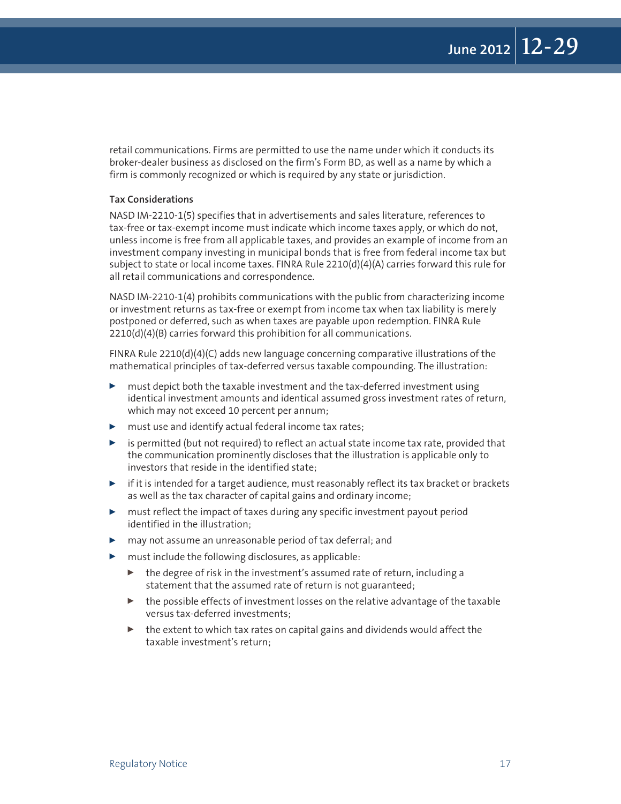retail communications. Firms are permitted to use the name under which it conducts its broker-dealer business as disclosed on the firm's Form BD, as well as a name by which a firm is commonly recognized or which is required by any state or jurisdiction.

#### **Tax Considerations**

NASD IM-2210-1(5) specifies that in advertisements and sales literature, references to tax-free or tax-exempt income must indicate which income taxes apply, or which do not, unless income is free from all applicable taxes, and provides an example of income from an investment company investing in municipal bonds that is free from federal income tax but subject to state or local income taxes. FINRA Rule 2210(d)(4)(A) carries forward this rule for all retail communications and correspondence.

NASD IM-2210-1(4) prohibits communications with the public from characterizing income or investment returns as tax-free or exempt from income tax when tax liability is merely postponed or deferred, such as when taxes are payable upon redemption. FINRA Rule 2210(d)(4)(B) carries forward this prohibition for all communications.

FINRA Rule 2210(d)(4)(C) adds new language concerning comparative illustrations of the mathematical principles of tax-deferred versus taxable compounding. The illustration:

- $\triangleright$  must depict both the taxable investment and the tax-deferred investment using identical investment amounts and identical assumed gross investment rates of return, which may not exceed 10 percent per annum;
- $\triangleright$  must use and identify actual federal income tax rates;
- $\triangleright$  is permitted (but not required) to reflect an actual state income tax rate, provided that the communication prominently discloses that the illustration is applicable only to investors that reside in the identified state;
- $\triangleright$  if it is intended for a target audience, must reasonably reflect its tax bracket or brackets as well as the tax character of capital gains and ordinary income;
- $\triangleright$  must reflect the impact of taxes during any specific investment payout period identified in the illustration;
- <sup>0</sup> may not assume an unreasonable period of tax deferral; and
- $\blacktriangleright$  must include the following disclosures, as applicable:
	- $\blacktriangleright$  the degree of risk in the investment's assumed rate of return, including a statement that the assumed rate of return is not guaranteed;
	- $\blacktriangleright$  the possible effects of investment losses on the relative advantage of the taxable versus tax-deferred investments;
	- $\blacktriangleright$  the extent to which tax rates on capital gains and dividends would affect the taxable investment's return;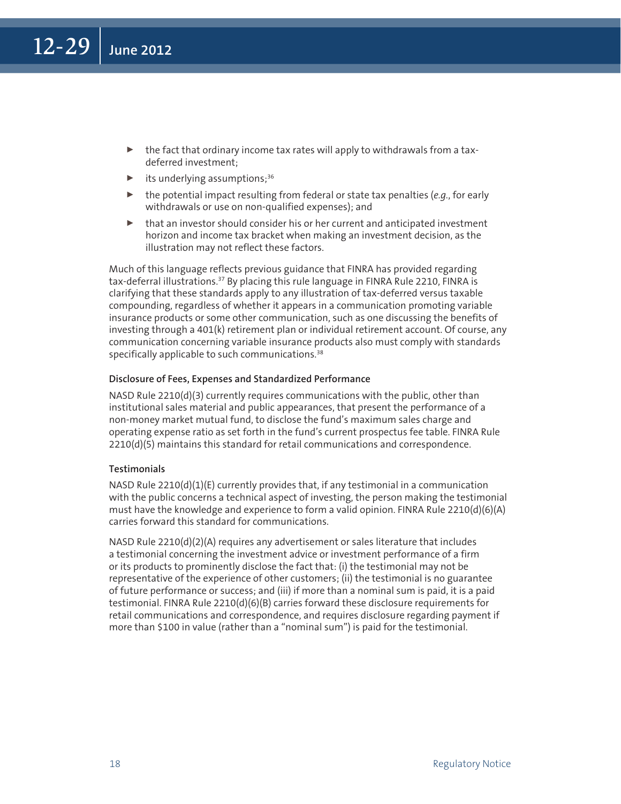- $\blacktriangleright$  the fact that ordinary income tax rates will apply to withdrawals from a taxdeferred investment;
- $\blacktriangleright$  its underlying assumptions;<sup>36</sup>
- $\blacktriangleright$  the potential impact resulting from federal or state tax penalties (*e.g.*, for early withdrawals or use on non-qualified expenses); and
- $\blacktriangleright$  that an investor should consider his or her current and anticipated investment horizon and income tax bracket when making an investment decision, as the illustration may not reflect these factors.

Much of this language reflects previous guidance that FINRA has provided regarding tax-deferral illustrations.<sup>37</sup> By placing this rule language in FINRA Rule 2210, FINRA is clarifying that these standards apply to any illustration of tax-deferred versus taxable compounding, regardless of whether it appears in a communication promoting variable insurance products or some other communication, such as one discussing the benefits of investing through a 401(k) retirement plan or individual retirement account. Of course, any communication concerning variable insurance products also must comply with standards specifically applicable to such communications.<sup>38</sup>

#### **Disclosure of Fees, Expenses and Standardized Performance**

NASD Rule 2210(d)(3) currently requires communications with the public, other than institutional sales material and public appearances, that present the performance of a non-money market mutual fund, to disclose the fund's maximum sales charge and operating expense ratio as set forth in the fund's current prospectus fee table. FINRA Rule  $2210(d)(5)$  maintains this standard for retail communications and correspondence.

#### **Testimonials**

NASD Rule 2210(d)(1)(E) currently provides that, if any testimonial in a communication with the public concerns a technical aspect of investing, the person making the testimonial must have the knowledge and experience to form a valid opinion. FINRA Rule  $2210(d)(6)(A)$ carries forward this standard for communications.

NASD Rule  $2210(d)(2)(A)$  requires any advertisement or sales literature that includes a testimonial concerning the investment advice or investment performance of a firm or its products to prominently disclose the fact that: (i) the testimonial may not be representative of the experience of other customers; (ii) the testimonial is no guarantee of future performance or success; and (iii) if more than a nominal sum is paid, it is a paid testimonial. FINRA Rule  $2210(d)(6)(B)$  carries forward these disclosure requirements for retail communications and correspondence, and requires disclosure regarding payment if more than \$100 in value (rather than a "nominal sum") is paid for the testimonial.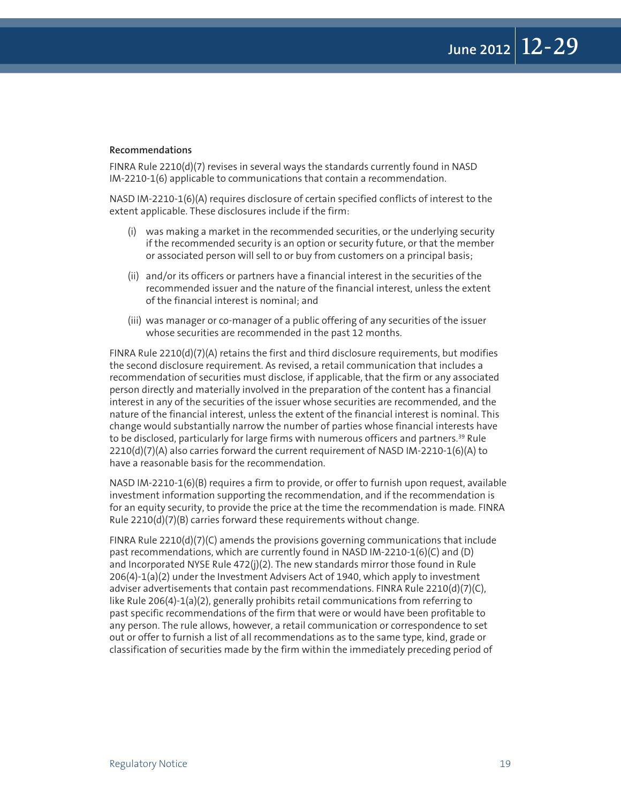#### **Recommendations**

FINRA Rule  $2210(d)(7)$  revises in several ways the standards currently found in NASD IM-2210-1(6) applicable to communications that contain a recommendation.

NASD IM-2210-1(6)(A) requires disclosure of certain specified conflicts of interest to the extent applicable. These disclosures include if the firm:

- (i) was making a market in the recommended securities, or the underlying security if the recommended security is an option or security future, or that the member or associated person will sell to or buy from customers on a principal basis;
- (ii) and/or its officers or partners have a financial interest in the securities of the recommended issuer and the nature of the financial interest, unless the extent of the financial interest is nominal; and
- (iii) was manager or co-manager of a public offering of any securities of the issuer whose securities are recommended in the past 12 months.

FINRA Rule  $2210(d)(7)(A)$  retains the first and third disclosure requirements, but modifies the second disclosure requirement. As revised, a retail communication that includes a recommendation of securities must disclose, if applicable, that the firm or any associated person directly and materially involved in the preparation of the content has a financial interest in any of the securities of the issuer whose securities are recommended, and the nature of the financial interest, unless the extent of the financial interest is nominal. This change would substantially narrow the number of parties whose financial interests have to be disclosed, particularly for large firms with numerous officers and partners.<sup>39</sup> Rule 2210(d)(7)(A) also carries forward the current requirement of NASD IM-2210-1(6)(A) to have a reasonable basis for the recommendation.

NASD IM-2210-1(6)(B) requires a firm to provide, or offer to furnish upon request, available investment information supporting the recommendation, and if the recommendation is for an equity security, to provide the price at the time the recommendation is made. FINRA Rule 2210(d)(7)(B) carries forward these requirements without change.

FINRA Rule  $2210(d)(7)(C)$  amends the provisions governing communications that include past recommendations, which are currently found in NASD IM-2210-1(6)(C) and (D) and Incorporated NYSE Rule 472(j)(2). The new standards mirror those found in Rule 206(4)-1(a)(2) under the Investment Advisers Act of 1940, which apply to investment adviser advertisements that contain past recommendations. FINRA Rule  $2210(d)(7)(C)$ , like Rule 206(4)-1(a)(2), generally prohibits retail communications from referring to past specific recommendations of the firm that were or would have been profitable to any person. The rule allows, however, a retail communication or correspondence to set out or offer to furnish a list of all recommendations as to the same type, kind, grade or classification of securities made by the firm within the immediately preceding period of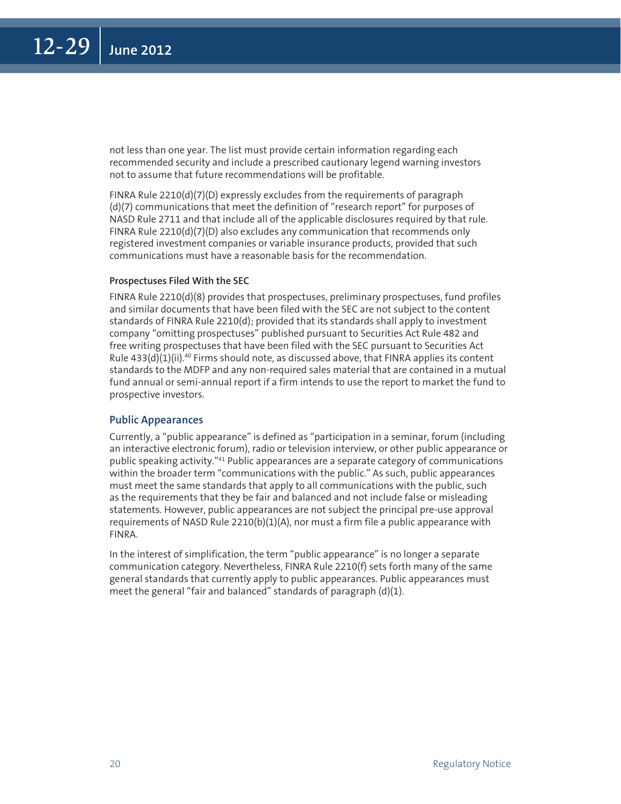not less than one year. The list must provide certain information regarding each recommended security and include a prescribed cautionary legend warning investors not to assume that future recommendations will be profitable.

FINRA Rule 2210(d)(7)(D) expressly excludes from the requirements of paragraph (d)(7) communications that meet the definition of "research report" for purposes of NASD Rule 2711 and that include all of the applicable disclosures required by that rule. FINRA Rule 2210(d)(7)(D) also excludes any communication that recommends only registered investment companies or variable insurance products, provided that such communications must have a reasonable basis for the recommendation.

#### **Prospectuses Filed With the SEC**

FINRA Rule 2210(d)(8) provides that prospectuses, preliminary prospectuses, fund profiles and similar documents that have been filed with the SEC are not subject to the content standards of FINRA Rule 2210(d); provided that its standards shall apply to investment company "omitting prospectuses" published pursuant to Securities Act Rule 482 and free writing prospectuses that have been filed with the SEC pursuant to Securities Act Rule 433(d)(1)(ii).<sup>40</sup> Firms should note, as discussed above, that FINRA applies its content standards to the MDFP and any non-required sales material that are contained in a mutual fund annual or semi-annual report if a firm intends to use the report to market the fund to prospective investors.

#### **Public Appearances**

Currently, a "public appearance" is defined as "participation in a seminar, forum (including an interactive electronic forum), radio or television interview, or other public appearance or public speaking activity."41 Public appearances are a separate category of communications within the broader term "communications with the public." As such, public appearances must meet the same standards that apply to all communications with the public, such as the requirements that they be fair and balanced and not include false or misleading statements. However, public appearances are not subject the principal pre-use approval requirements of NASD Rule 2210(b)(1)(A), nor must a firm file a public appearance with FINRA.

In the interest of simplification, the term "public appearance" is no longer a separate communication category. Nevertheless, FINRA Rule 2210(f) sets forth many of the same general standards that currently apply to public appearances. Public appearances must meet the general "fair and balanced" standards of paragraph (d)(1).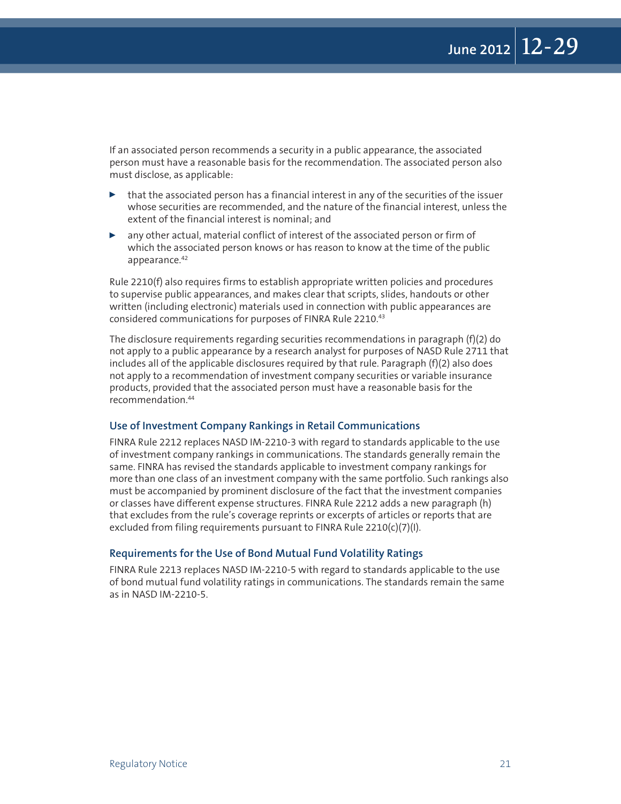If an associated person recommends a security in a public appearance, the associated person must have a reasonable basis for the recommendation. The associated person also must disclose, as applicable:

- $\blacktriangleright$  that the associated person has a financial interest in any of the securities of the issuer whose securities are recommended, and the nature of the financial interest, unless the extent of the financial interest is nominal; and
- $\triangleright$  any other actual, material conflict of interest of the associated person or firm of which the associated person knows or has reason to know at the time of the public appearance.42

Rule 2210(f) also requires firms to establish appropriate written policies and procedures to supervise public appearances, and makes clear that scripts, slides, handouts or other written (including electronic) materials used in connection with public appearances are considered communications for purposes of FINRA Rule 2210.43

The disclosure requirements regarding securities recommendations in paragraph (f)(2) do not apply to a public appearance by a research analyst for purposes of NASD Rule 2711 that includes all of the applicable disclosures required by that rule. Paragraph (f)(2) also does not apply to a recommendation of investment company securities or variable insurance products, provided that the associated person must have a reasonable basis for the recommendation.44

#### **Use of Investment Company Rankings in Retail Communications**

FINRA Rule 2212 replaces NASD IM-2210-3 with regard to standards applicable to the use of investment company rankings in communications. The standards generally remain the same. FINRA has revised the standards applicable to investment company rankings for more than one class of an investment company with the same portfolio. Such rankings also must be accompanied by prominent disclosure of the fact that the investment companies or classes have different expense structures. FINRA Rule 2212 adds a new paragraph (h) that excludes from the rule's coverage reprints or excerpts of articles or reports that are excluded from filing requirements pursuant to FINRA Rule 2210(c)(7)(I).

#### **Requirements for the Use of Bond Mutual Fund Volatility Ratings**

FINRA Rule 2213 replaces NASD IM-2210-5 with regard to standards applicable to the use of bond mutual fund volatility ratings in communications. The standards remain the same as in NASD IM-2210-5.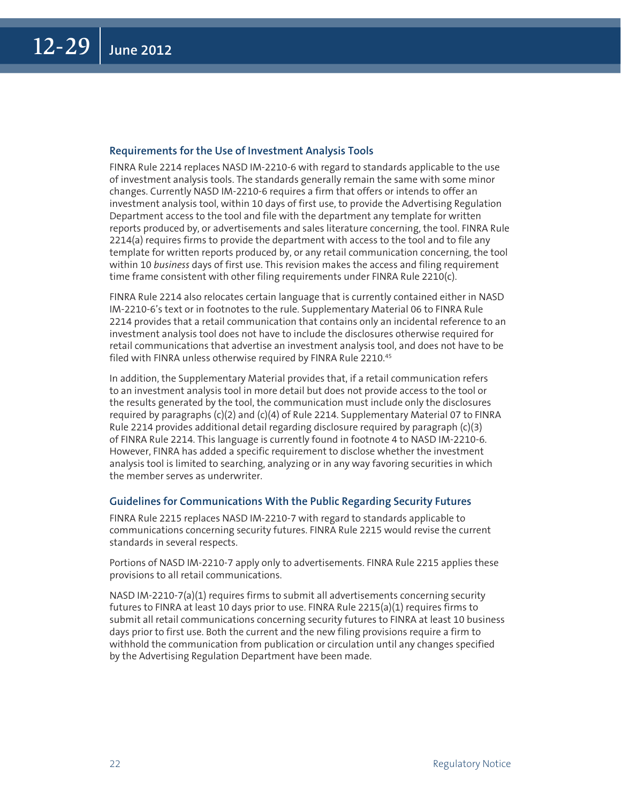#### **Requirements for the Use of Investment Analysis Tools**

FINRA Rule 2214 replaces NASD IM-2210-6 with regard to standards applicable to the use of investment analysis tools. The standards generally remain the same with some minor changes. Currently NASD IM-2210-6 requires a firm that offers or intends to offer an investment analysis tool, within 10 days of first use, to provide the Advertising Regulation Department access to the tool and file with the department any template for written reports produced by, or advertisements and sales literature concerning, the tool. FINRA Rule 2214(a) requires firms to provide the department with access to the tool and to file any template for written reports produced by, or any retail communication concerning, the tool within 10 *business* days of first use. This revision makes the access and filing requirement time frame consistent with other filing requirements under FINRA Rule 2210(c).

FINRA Rule 2214 also relocates certain language that is currently contained either in NASD IM-2210-6's text or in footnotes to the rule. Supplementary Material 06 to FINRA Rule 2214 provides that a retail communication that contains only an incidental reference to an investment analysis tool does not have to include the disclosures otherwise required for retail communications that advertise an investment analysis tool, and does not have to be filed with FINRA unless otherwise required by FINRA Rule 2210.45

In addition, the Supplementary Material provides that, if a retail communication refers to an investment analysis tool in more detail but does not provide access to the tool or the results generated by the tool, the communication must include only the disclosures required by paragraphs  $(c)(2)$  and  $(c)(4)$  of Rule 2214. Supplementary Material 07 to FINRA Rule 2214 provides additional detail regarding disclosure required by paragraph (c)(3) of FINRA Rule 2214. This language is currently found in footnote 4 to NASD IM-2210-6. However, FINRA has added a specific requirement to disclose whether the investment analysis tool is limited to searching, analyzing or in any way favoring securities in which the member serves as underwriter.

#### **Guidelines for Communications With the Public Regarding Security Futures**

FINRA Rule 2215 replaces NASD IM-2210-7 with regard to standards applicable to communications concerning security futures. FINRA Rule 2215 would revise the current standards in several respects.

Portions of NASD IM-2210-7 apply only to advertisements. FINRA Rule 2215 applies these provisions to all retail communications.

NASD IM-2210-7(a)(1) requires firms to submit all advertisements concerning security futures to FINRA at least 10 days prior to use. FINRA Rule 2215(a)(1) requires firms to submit all retail communications concerning security futures to FINRA at least 10 business days prior to first use. Both the current and the new filing provisions require a firm to withhold the communication from publication or circulation until any changes specified by the Advertising Regulation Department have been made.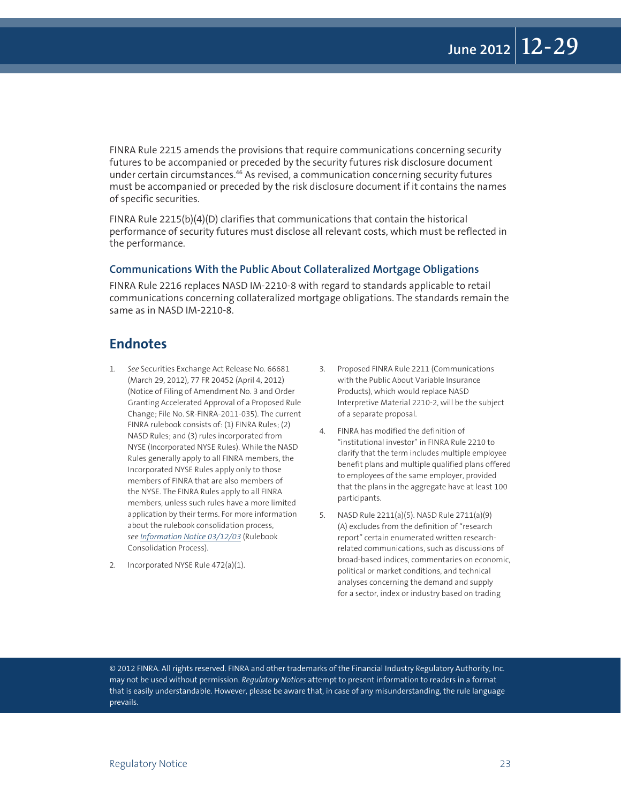FINRA Rule 2215 amends the provisions that require communications concerning security futures to be accompanied or preceded by the security futures risk disclosure document under certain circumstances.46 As revised, a communication concerning security futures must be accompanied or preceded by the risk disclosure document if it contains the names of specific securities.

FINRA Rule 2215(b)(4)(D) clarifies that communications that contain the historical performance of security futures must disclose all relevant costs, which must be reflected in the performance.

#### **Communications With the Public About Collateralized Mortgage Obligations**

FINRA Rule 2216 replaces NASD IM-2210-8 with regard to standards applicable to retail communications concerning collateralized mortgage obligations. The standards remain the same as in NASD IM-2210-8.

#### **Endnotes**

- 1. *See* Securities Exchange Act Release No. 66681 (March 29, 2012), 77 FR 20452 (April 4, 2012) (Notice of Filing of Amendment No. 3 and Order Granting Accelerated Approval of a Proposed Rule Change; File No. SR-FINRA-2011-035). The current FINRA rulebook consists of: (1) FINRA Rules; (2) NASD Rules; and (3) rules incorporated from NYSE (Incorporated NYSE Rules). While the NASD Rules generally apply to all FINRA members, the Incorporated NYSE Rules apply only to those members of FINRA that are also members of the NYSE. The FINRA Rules apply to all FINRA members, unless such rules have a more limited application by their terms. For more information about the rulebook consolidation process, *see Information Notice 03/12/03* (Rulebook Consolidation Process).
- 2. Incorporated NYSE Rule 472(a)(1).
- 3. Proposed FINRA Rule 2211 (Communications with the Public About Variable Insurance Products), which would replace NASD Interpretive Material 2210-2, will be the subject of a separate proposal.
- 4. FINRA has modified the definition of "institutional investor" in FINRA Rule 2210 to clarify that the term includes multiple employee benefit plans and multiple qualified plans offered to employees of the same employer, provided that the plans in the aggregate have at least 100 participants.
- 5. NASD Rule 2211(a)(5). NASD Rule 2711(a)(9) (A) excludes from the definition of "research report" certain enumerated written researchrelated communications, such as discussions of broad-based indices, commentaries on economic, political or market conditions, and technical analyses concerning the demand and supply for a sector, index or industry based on trading

© 2012 FINRA. All rights reserved. FINRA and other trademarks of the Financial Industry Regulatory Authority, Inc. may not be used without permission. *Regulatory Notices* attempt to present information to readers in a format that is easily understandable. However, please be aware that, in case of any misunderstanding, the rule language prevails.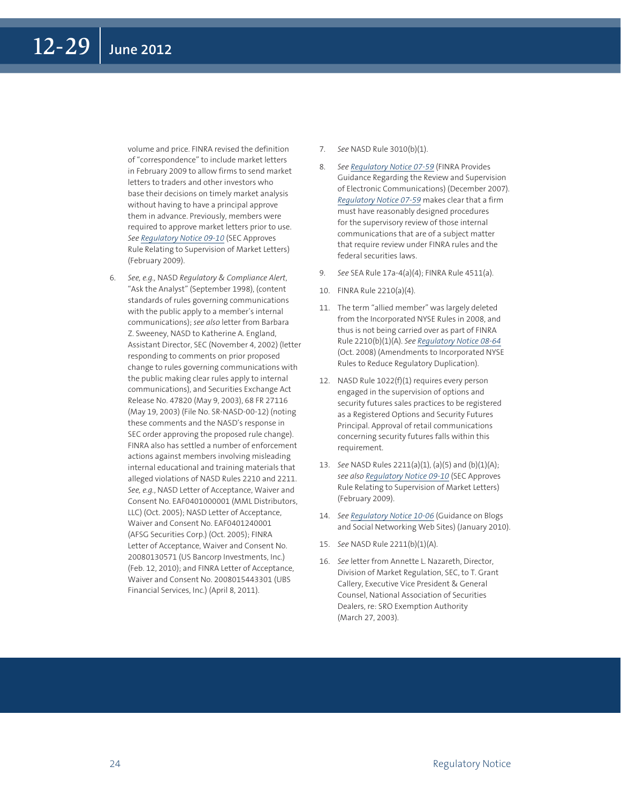volume and price. FINRA revised the definition of "correspondence" to include market letters in February 2009 to allow firms to send market letters to traders and other investors who base their decisions on timely market analysis without having to have a principal approve them in advance. Previously, members were required to approve market letters prior to use. *See Regulatory Notice 09-10* (SEC Approves Rule Relating to Supervision of Market Letters) (February 2009).

6. *See, e.g.,* NASD *Regulatory & Compliance Alert*, "Ask the [Analyst](http://www.finra.org/Industry/Regulation/Guidance/RCA/)" (September 1998), (content standards of rules governing communications with the public apply to a member's internal communications); *see also* letter from Barbara Z. Sweeney, NASD to Katherine A. England, Assistant Director, SEC (November 4, 2002) (letter responding to comments on prior proposed change to rules governing communications with the public making clear rules apply to internal communications), and Securities Exchange Act Release No. 47820 (May 9, 2003), 68 FR 27116 (May 19, 2003) (File No. SR-NASD-00-12) (noting these comments and the NASD's response in SEC order approving the proposed rule change). FINRA also has settled a number of enforcement actions against members involving misleading internal educational and training materials that alleged violations of NASD Rules 2210 and 2211. *See, e.g.*, NASD Letter of Acceptance, Waiver and Consent No. EAF0401000001 (MML Distributors, LLC) (Oct. 2005); NASD Letter of Acceptance, Waiver and Consent No. EAF0401240001 (AFSG Securities Corp.) (Oct. 2005); FINRA Letter of Acceptance, Waiver and Consent No. 20080130571 (US Bancorp Investments, Inc.) (Feb. 12, 2010); and FINRA Letter of Acceptance, Waiver and Consent No. 2008015443301 (UBS Financial Services, Inc.) (April 8, 2011).

- 7. *See* NASD Rule 3010(b)(1).
- 8. *See [Regulatory Notice 07-59](http://www.finra.org/Industry/Regulation/Notices/2007/P037554)* (FINRA Provides Guidance Regarding the Review and Supervision of Electronic Communications) (December 2007). *Regulatory Notice 07-59* makes clear that a firm must have reasonably designed procedures for the supervisory review of those internal communications that are of a subject matter that require review under FINRA rules and the federal securities laws.
- 9. *See* SEA Rule 17a-4(a)(4); FINRA Rule 4511(a).
- 10. FINRA Rule 2210(a)(4).
- 11. The term "allied member" was largely deleted from the Incorporated NYSE Rules in 2008, and thus is not being carried over as part of FINRA Rule 2210(b)(1)(A). *See [Regulatory Notice 08-64](http://www.finra.org/Industry/Regulation/Notices/2008/P117351)* (Oct. 2008) (Amendments to Incorporated NYSE Rules to Reduce Regulatory Duplication).
- 12. NASD Rule 1022(f)(1) requires every person engaged in the supervision of options and security futures sales practices to be registered as a Registered Options and Security Futures Principal. Approval of retail communications concerning security futures falls within this requirement.
- 13. *See* NASD Rules 2211(a)(1), (a)(5) and (b)(1)(A); *see also [Regulatory Notice 09-10](http://www.finra.org/Industry/Regulation/Notices/2009/P117805)* (SEC Approves Rule Relating to Supervision of Market Letters) (February 2009).
- 14. *See [Regulatory Notice 10-06](http://www.finra.org/Industry/Regulation/Notices/2010/P120760)* (Guidance on Blogs and Social Networking Web Sites) (January 2010).
- 15. *See* NASD Rule 2211(b)(1)(A).
- 16. See letter from Annette L. Nazareth, Director, Division of Market Regulation, SEC, to T. Grant Callery, Executive Vice President & General Counsel, National Association of Securities Dealers, re: SRO Exemption Authority (March 27, 2003).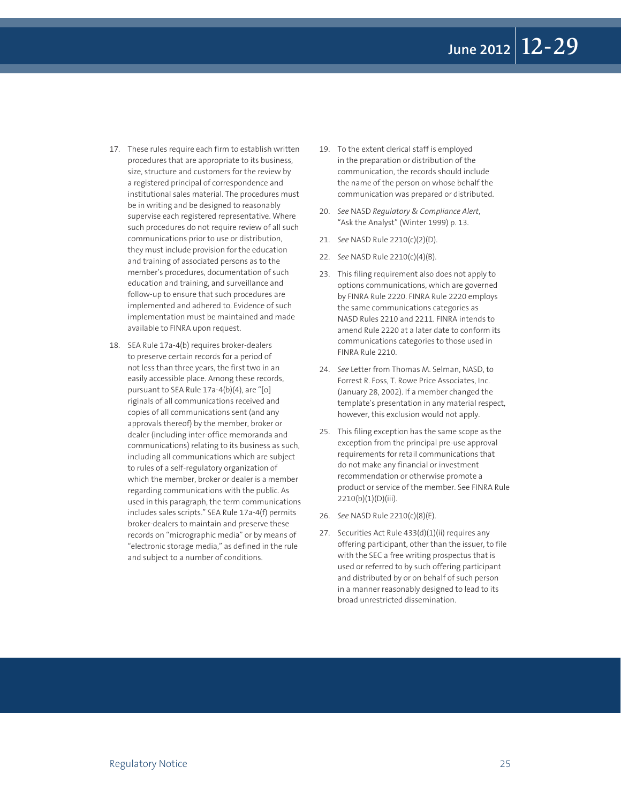- 17. These rules require each firm to establish written procedures that are appropriate to its business, size, structure and customers for the review by a registered principal of correspondence and institutional sales material. The procedures must be in writing and be designed to reasonably supervise each registered representative. Where such procedures do not require review of all such communications prior to use or distribution, they must include provision for the education and training of associated persons as to the member's procedures, documentation of such education and training, and surveillance and follow-up to ensure that such procedures are implemented and adhered to. Evidence of such implementation must be maintained and made available to FINRA upon request.
- 18. SEA Rule 17a-4(b) requires broker-dealers to preserve certain records for a period of not less than three years, the first two in an easily accessible place. Among these records, pursuant to SEA Rule 17a-4(b)(4), are "[o] riginals of all communications received and copies of all communications sent (and any approvals thereof) by the member, broker or dealer (including inter-office memoranda and communications) relating to its business as such, including all communications which are subject to rules of a self-regulatory organization of which the member, broker or dealer is a member regarding communications with the public. As used in this paragraph, the term communications includes sales scripts." SEA Rule 17a-4(f) permits broker-dealers to maintain and preserve these records on "micrographic media" or by means of "electronic storage media," as defined in the rule and subject to a number of conditions.
- 19. To the extent clerical staff is employed in the preparation or distribution of the communication, the records should include the name of the person on whose behalf the communication was prepared or distributed.
- 20. *See* NASD *Regulatory & Compliance Alert*, "Ask the [Analyst](http://www.finra.org/Industry/Regulation/Guidance/RCA/)" (Winter 1999) p. 13.
- 21. *See* NASD Rule 2210(c)(2)(D).
- 22. *See* NASD Rule 2210(c)(4)(B).
- 23. This filing requirement also does not apply to options communications, which are governed by FINRA Rule 2220. FINRA Rule 2220 employs the same communications categories as NASD Rules 2210 and 2211. FINRA intends to amend Rule 2220 at a later date to conform its communications categories to those used in FINRA Rule 2210.
- 24. *See* Letter from [Thomas](http://www.finra.org/Industry/Regulation/Guidance/InterpretiveLetters/P002536) M. Selman, NASD, to Forrest R. Foss, T. Rowe Price Associates, Inc. (January 28, 2002). If a member changed the template's presentation in any material respect, however, this exclusion would not apply.
- 25. This filing exception has the same scope as the exception from the principal pre-use approval requirements for retail communications that do not make any financial or investment recommendation or otherwise promote a product or service of the member. See FINRA Rule 2210(b)(1)(D)(iii).
- 26. *See* NASD Rule 2210(c)(8)(E).
- 27. Securities Act Rule 433(d)(1)(ii) requires any offering participant, other than the issuer, to file with the SEC a free writing prospectus that is used or referred to by such offering participant and distributed by or on behalf of such person in a manner reasonably designed to lead to its broad unrestricted dissemination.